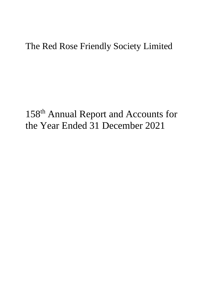# 158<sup>th</sup> Annual Report and Accounts for the Year Ended 31 December 2021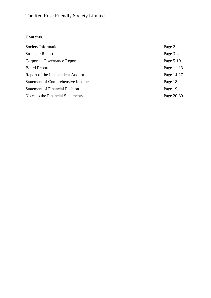# **Contents**

| Society Information                      | Page 2     |
|------------------------------------------|------------|
| <b>Strategic Report</b>                  | Page 3-4   |
| Corporate Governance Report              | Page 5-10  |
| <b>Board Report</b>                      | Page 11-13 |
| Report of the Independent Auditor        | Page 14-17 |
| <b>Statement of Comprehensive Income</b> | Page 18    |
| <b>Statement of Financial Position</b>   | Page 19    |
| Notes to the Financial Statements        | Page 20-39 |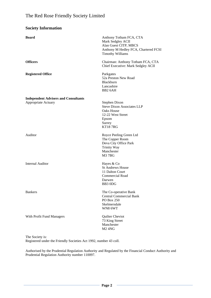| <b>Society Information</b>                                         |                                                                                                                                          |
|--------------------------------------------------------------------|------------------------------------------------------------------------------------------------------------------------------------------|
| <b>Board</b>                                                       | Anthony Totham FCA, CTA<br>Mark Sedgley ACII<br>Alan Guest CITP, MBCS<br>Anthony M Hedley FCA, Chartered FCSI<br><b>Timothy Williams</b> |
| <b>Officers</b>                                                    | Chairman: Anthony Totham FCA, CTA<br>Chief Executive: Mark Sedgley ACII                                                                  |
| <b>Registered Office</b>                                           | Parkgates<br>52a Preston New Road<br>Blackburn<br>Lancashire<br>BB <sub>2</sub> 6AH                                                      |
| <b>Independent Advisers and Consultants</b><br>Appropriate Actuary | Stephen Dixon<br><b>Steve Dixon Associates LLP</b><br><b>Oaks House</b><br>12-22 West Street<br>Epsom<br>Surrey<br><b>KT187RG</b>        |
| Auditor                                                            | Royce Peeling Green Ltd<br>The Copper Room<br>Deva City Office Park<br><b>Trinity Way</b><br>Manchester<br>M <sub>3</sub> 7BG            |
| <b>Internal Auditor</b>                                            | Hayes & Co<br><b>St Andrews House</b><br>11 Dalton Court<br><b>Commercial Road</b><br>Darwen<br>BB3 0DG                                  |
| <b>Bankers</b>                                                     | The Co-operative Bank<br><b>Central Commercial Bank</b><br><b>PO Box 250</b><br>Skelmersdale<br>WN8 6WT                                  |
| With Profit Fund Managers                                          | Quilter Cheviot<br>73 King Street<br>Manchester<br><b>M2 4NG</b>                                                                         |

The Society is:

Registered under the Friendly Societies Act 1992, number 43 coll.

Authorised by the Prudential Regulation Authority and Regulated by the Financial Conduct Authority and Prudential Regulation Authority number 110097.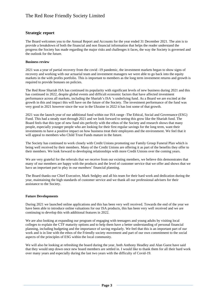#### **Strategic report**

The Board welcomes you to the Annual Report and Accounts for the year ended 31 December 2021. The aim is to provide a breakdown of both the financial and non financial information that helps the reader understand the progress the Society has made regarding the major risks and challenges it faces, the way the Society is governed and the outlook for the future.

#### **Business review**

2021 was a year of partial recovery from the covid -19 pandemic, the investment markets began to show signs of recovery and working with our actuarial team and investment managers we were able to go back into the equity markets in the with profits portfolio. This is important to members as the long term investment returns and growth is required to provide bonuses on policies.

The Red Rose Shariah ISA has continued its popularity with significant levels of new business during 2021 and this has continued in 2022, despite global events and difficult economic factors that have affected investment performance across all markets, including the Shariah's ISA 's underlying fund. As a Board we are excited at the growth in this and impact this will have on the future of the Society. The investment performance of the fund was very good in 2021 however since the war in the Ukraine in 2022 it has lost some of that growth.

2021 was the launch year of our additional fund within our ISA range -The Ethical, Social and Governance (ESG) Fund. This had a steady start through 2021 and we look forward to seeing this grow like the Shariah fund. The Board feels that this type of new fund sits perfectly with the ethos of the Society and research shows that many people, especially younger people who are looking for their first regular savings for the long term, want their investments to have a positive impact on how business treat their employees and the environment. We feel that it will appeal to members who Child Trust Funds mature in the future.

The Society has continued to work closely with Credit Unions promoting our Family Group Funeral Plan which is being well received by their members. Many of the Credit Unions are offering it as part of the benefits they offer to their members. We look forward to developing relationships with more Credit Unions over the coming years.

We are very grateful for the referrals that we receive from our existing members, we believe this demonstrates that many of our members are happy with the products and the level of customer service that we offer and shows that we have an important part to play in our members' financial planning.

The Board thanks our Chief Executive, Mark Sedgley and all his team for their hard work and dedication during the year, maintaining the high standards of customer service and we thank all our professional advisers for their assistance to the Society.

#### **Future Developments**

During 2021 we launched online applications and this has been very well received. Towards the end of the year we have been able to introduce online valuations for our ISA products, this has been very well received and we are continuing to develop this with additional features in 2022.

We are also looking at expanding our program of engaging with teenagers and young adults by visiting local colleges to explain the CTF maturity options and to help them have a better understanding of personal financial planning, including budgeting and the importance of saving regularly. We feel that this is an important part of our work and is in line with the ethos of the Friendly society movement and part of our own commitment to the social aspects of the principles of ESG within the local community.

We will also be looking at refreshing the board during the year, both Anthony Headley and Alan Guest have said that they would step down once new board members are settled in. I would like to thank them for all their hard work over many years and especially during the last two years with the difficulty of Covid-19.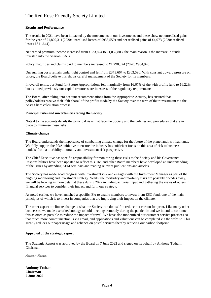#### **Results and Performance**

The results in 2021 have been impacted by the movements in our investments and these show net unrealised gains for the year of £1,802,311(2020: unrealised losses of £938,550) and net realised gains of £4,073 (2020: realised losses £611,644).

Net earned premium income increased from £833,824 to £1,052,803, the main reason is the increase in funds invested into the Shariah ISA's.

Policy maturities and claims paid to members increased to £1,298,624 (2020: £904,970).

Our running costs remain under tight control and fell from £373,667 to £363,596. With constant upward pressure on prices, the Board believe this shows careful management of the Society for its members.

In overall terms, our Fund for Future Appropriations fell marginally from 16.67% of the with profits fund to 16.22% but as noted previously our capital resources are in excess of the regulatory requirements.

The Board, after taking into account recommendations from the Appropriate Actuary, has ensured that policyholders receive their 'fair share' of the profits made by the Society over the term of their investment via the Asset Share calculation process.

#### **Principal risks and uncertainties facing the Society**

Note 4 to the accounts details the principal risks that face the Society and the policies and procedures that are in place to minimise these risks.

#### **Climate change**

The Board understands the importance of combatting climate change for the future of the planet and its inhabitants. We fully support the PRA initiative to ensure the industry has sufficient focus on this area of risk to business models, from a morbidity, mortality and investment risk perspective.

The Chief Executive has specific responsibility for monitoring these risks to the Society and his Governance Responsibilities have been updated to reflect this. He, and other Board members have developed an understanding of the issues by attending AFM seminars and reading relevant publications and articles.

The Society has made good progress with investment risk and engages with the Investment Manager as part of the ongoing monitoring and investment strategy. Whilst the morbidity and mortality risks are possibly decades away, we will be looking in more detail at these during 2022 including actuarial input and gathering the views of others in financial services to consider their impact and form our strategy.

As noted earlier, we have launched a specific ISA to enable members to invest in an ESG fund, one of the main principles of which is to invest in companies that are improving their impact on the climate.

The other aspect to climate change is what the Society can do itself to reduce our carbon footprint. Like many other businesses, we made use of technology to hold meetings remotely during the pandemic and we intend to continue this as often as possible to reduce the impact of travel. We have also modernized our customer service practices so that much more communication is via email, and applications and valuations can be completed via the website. This greatly reduces our paper usage and reliance on postal services thereby reducing our carbon footprint.

#### **Approval of the strategic report**

The Strategic Report was approved by the Board on 7 June 2022 and signed on its behalf by Anthony Totham, Chairman.

Anthony Totham

**Anthony Totham Chairman 7 June 2022**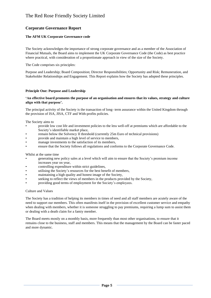# **Corporate Governance Report**

#### **The AFM UK Corporate Governance code**

The Society acknowledges the importance of strong corporate governance and as a member of the Association of Financial Mutuals, the Board aims to implement the UK Corporate Governance Code (the Code) as best practice where practical, with consideration of a proportionate approach in view of the size of the Society.

The Code comprises six principles:

Purpose and Leadership; Board Composition; Director Responsibilities; Opportunity and Risk; Remuneration, and Stakeholder Relationships and Engagement. This Report explains how the Society has adopted these principles.

#### **Principle One: Purpose and Leadership**

#### **'An effective board promotes the purpose of an organisation and ensures that its values, strategy and culture align with that purpose'.**

The principal activity of the Society is the transaction of long- term assurance within the United Kingdom through the provision of ISA, JISA, CTF and With-profits policies.

The Society aims to

- provide low cost life and investment policies to the less well-off at premiums which are affordable to the Society's identifiable market place,
- remain below the Solvency II threshold (currently 25m Euro of technical provisions)
- provide and maintain a high level of service to members,
- manage investments to the satisfaction of its members.
- ensure that the Society follows all regulations and conforms to the Corporate Governance Code.

Whilst at the same time

- generating new policy sales at a level which will aim to ensure that the Society's premium income increases year on year,
- controlling expenditure within strict guidelines,
- utilising the Society's resources for the best benefit of members,
- maintaining a high quality and honest image of the Society,
- seeking to reflect the views of members in the products provided by the Society,
- providing good terms of employment for the Society's employees.

#### Culture and Values

The Society has a tradition of helping its members in times of need and all staff members are acutely aware of the need to support our members. This often manifests itself in the provision of excellent customer service and empathy when dealing with members, whether it is someone struggling to pay premiums, requiring a lump sum to assist them or dealing with a death claim for a famiy member.

The Board meets mostly on a monthly basis, more frequently than most other organisations, to ensure that it remains close to the business, staff and members. This means that the management by the Board can be faster paced and more dynamic.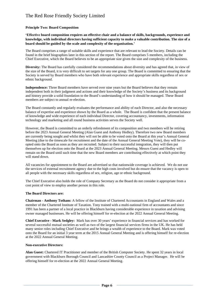#### **Principle Two: Board Composition**

**'Effective board composition requires an effective chair and a balance of skills, backgrounds, experience and knowledge, with individual directors having sufficient capacity to make a valuable contribution. The size of a board should be guided by the scale and complexity of the organisation.'**

The Board comprises a range of suitable skills and experience that are relevant to lead the Society. Details can be found in the brief biographies later in this section of the report. The Board comprises 5 members, including the Chief Executive, which the Board believes to be an appropriate size given the size and complexity of the business.

**Diversity:** The Board has carefully considered the recommendations about diversity and has agreed that, in view of the size of the Board, it is very difficult to set targets for any one group. The Board is committed to ensuring that the Society is served by Board members who have both relevant experience and appropriate skills regardless of sex or ethnic background.

**Independence:** Three Board members have served over nine years but the Board believes that they remain independent both in their judgment and actions and their knowledge of the Society's business and its background and history provide a solid foundation to the Board's understanding of how it should be managed. These Board members are subject to annual re-election.

The Board constantly and regularly evaluates the performance and ability of each Director, and also the necessary balance of expertise and experience shown by the Board as a whole. The Board is confident that the present balance of knowledge and wide experience of each individual Director, covering accountancy, investments, information technology and marketing and all round business activities serves the Society well.

However, the Board is committed to an orderly refreshment of its composition and two members will be retiring before the 2023 Annual General Meeting (Alan Guest and Anthony Hedley). Therefore two new Board members are currently being sought and whilst they will not be able to be voted onto the Board at this year's Annual General Meeting (due to the timescale for recruitment and the date of the Annual General Meeting Vote), they will be coopted onto the Board as soon as they are recruited. Subject to their successful integration, they will then put themselves up for election onto the Board at the 2023 Annual General Meeting. Messrs Guest and Hedley will remain on the Board until such time that the new Board members are contributing effectively at which point they will stand down.

All vacancies for appointment to the Board are advertised so that nationwide coverage is achieved. We do not use the services of external recruitment agency due to the high costs involved but do ensure that the vacancy is open to all people with the necessary skills regardless of sex, religion, age or ethnic background.

The Chief Executive also holds the role of Company Secretary as the Board do not consider it appropriate from a cost point of view to employ another person in this role.

#### **The Board Directors are:**

**Chairman - Anthony Totham:** A fellow of the Institute of Chartered Accountants in England and Wales and a member of the Chartered Institute of Taxation. Tony trained with a multi-national firm of accountants and since 1991 has been a partner of a local practice in Blackburn having considerable experience in taxation and advising owner managed businesses. He will be offering himself for re-election at the 2022 Annual General Meeting.

**Chief Executive - Mark Sedgley:** Mark has over 30 years' experience in financial services and has worked for several successful mutual societies as well as two of the largest financial services firms in the UK. He has held many senior roles including Chief Executive and he brings a wealth of experience to the Board. Mark was voted onto the Board for an initial 3 year term at the 2015 Annual General Meeting and is offering himself for re-election at the 2022 Annual General Meeting.

#### **Non-executive Directors:**

**Alan Guest:** Chartered IT Practitioner and member of the British Computer Society. He spent 32 years in local government with Blackburn Borough Council and Lancashire County Council as a Project Manager. He will be offering himself for re-election at the 2022 Annual General Meeting.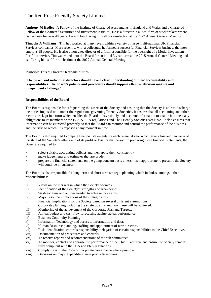**Anthony M Hedley:** A Fellow of the Institute of Chartered Accountants in England and Wales and a Chartered Fellow of the Chartered Securities and Investment Institute. He is a director in a local firm of stockbrokers where he has been for over 40 years. He will be offering himself for re-election at the 2022 Annual General Meeting.

**Timothy A Williams:** Tim has worked at many levels within a variety of large multi-national UK Financial Services companies. More recently, with a colleague, he formed a successful Financial Services business that now employs 18 people. He is also a non-exec director of a firm responsible for the oversight of a Model Investment Portfolio service. Tim was voted onto the Board for an initial 3 year term at the 2015 Annual General Meeting and is offering himself for re-election at the 2022 Annual General Meeting.

#### **Principle Three: Director Responsibilities**

**'The board and individual directors should have a clear understanding of their accountability and responsibilities. The board's policies and procedures should support effective decision making and independent challenge.'**

#### **Responsibilities of the Board**

The Board is responsible for safeguarding the assets of the Society and ensuring that the Society is able to discharge the duties imposed on it under the regulations governing Friendly Societies. It ensures that all accounting and other records are kept in a form which enables the Board to have timely and accurate information to enable it to meet any obligations to its members or the FCA & PRA regulations and The Friendly Societies Act 1992. It also ensures that information can be extracted promptly so that the Board can monitor and control the performance of the business and the risks to which it is exposed at any moment in time.

The Board is also required to prepare financial statements for each financial year which give a true and fair view of the state of the Society's affairs and of its profit or loss for that period. In preparing those financial statements, the Board are required to:

- select suitable accounting policies and then apply them consistently
- make judgements and estimates that are prudent
- prepare the financial statements on the going concern basis unless it is inappropriate to presume the Society will continue in business.

The Board is also responsible for long term and short term strategic planning which includes, amongst other responsibilities:

- i) Views on the markets in which the Society operates.
- ii) Identification of the Society's strengths and weaknesses.
- iii) Strategic aims and actions needed to achieve those aims.
- iv) Major resource implications of the strategic aims.
- v) Financial implications for the Society based on several different assumptions.
- vi) Corporate planning including the strategic aims and how these will be achieved.
- vii) Monitoring of the achievement of the Corporate Plan and Targets.
- viii) Annual budget and cash flow forecasting against actual performance.
- ix) Business Continuity Planning.
- x) Information Technology and access to information and data.
- xi) Human Resource planning, staffing and appointment of new directors.
- xii) Risk identification, controls responsibility, delegation of certain responsibilities to the Chief Executive.
- xiii) Documentation of procedures and controls.
- xiv) To receive reports and recommendations of the sub committees.
- xv) To monitor, control and appraise the performance of the Chief Executive and ensure the Society remains fully compliant with the FCA and PRA regulations.
- xvi) Complying with the Code of Corporate Governance where possible.
- xvii) Decisions on major expenditure, new products/ventures.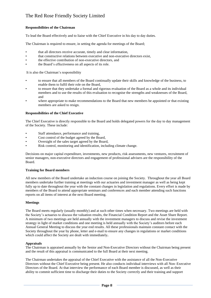#### **Responsibilities of the Chairman**

To lead the Board effectively and to liaise with the Chief Executive in his day to day duties.

The Chairman is required to ensure, in setting the agenda for meetings of the Board;

- that all directors receive accurate, timely and clear information,
- that constructive relations between executive and non-executive directors exist,
- the effective contribution of non-executive directors, and
- the Board's effectiveness on all aspects of its role.

It is also the Chairman's responsibility

- to ensure that all members of the Board continually update their skills and knowledge of the business, to enable them to fulfil their role on the Board,
- to ensure that they undertake a formal and rigorous evaluation of the Board as a whole and its individual members and to use the results of this evaluation to recognise the strengths and weaknesses of the Board, and
- where appropriate to make recommendations to the Board that new members be appointed or that existing members are asked to resign.

#### **Responsibilities of the Chief Executive**

The Chief Executive is directly responsible to the Board and holds delegated powers for the day to day management of the Society. These include:

- Staff attendance, performance and training,
- Cost control of the budget agreed by the Board,
- Oversight of the sales target agreed by the Board,
- Risk control, monitoring and identification, including climate change.

Decisions on major capital expenditure, investments, new products, risk assessments, new ventures, recruitment of senior managers, non-executive directors and engagement of professional advisers are the responsibility of the Board.

#### **Training for Board members**

All new members of the Board undertake an induction course on joining the Society. Throughout the year all Board members undertake further training at meetings with our actuaries and investment manager as well as being kept fully up to date throughout the year with the constant changes in legislation and regulations. Every effort is made by members of the Board to attend appropriate seminars and conferences and each member attending such functions reports on all items of interest at the next Board meeting.

#### **Meetings**

The Board meets regularly (usually monthly) and at such other times when necessary. Two meetings are held with the Society's actuaries to discuss the valuation results, the Financial Condition Report and the Asset Share Report. A minimum of two meetings are held annually with the investment managers to discuss and revise the investment strategy in light of market conditions and one meeting is held annually with the Society's auditors before each Annual General Meeting to discuss the year end results. All these professionals maintain constant contact with the Society throughout the year by phone, letter and e-mail to ensure any changes in regulations or market conditions which could affect the Society are dealt with immediately**.** 

#### **Appraisals**

The Chairman is appraised annually by the Senior and Non-Executive Directors without the Chairman being present and the result of this appraisal is communicated to the full Board at their next meeting.

The Chairman undertakes the appraisal of the Chief Executive with the assistance of all the Non-Executive Directors without the Chief Executive being present. He also conducts individual interviews with all Non–Executive Directors of the Board. At that interview the performance of each Board member is discussed, as well as their ability to commit sufficient time to discharge their duties to the Society correctly and their training and support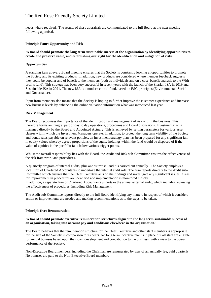needs where required. The results of these appraisals are communicated to the full Board at the next meeting following appraisal.

#### **Principle Four: Opportunity and Risk**

#### **'A board should promote the long term sustainable success of the organisation by identifying opportunities to create and preserve value, and establishing oversight for the identification and mitigation of risks.'**

#### **Opportunities**

A standing item at every Board meeting ensures that the Society is constantly looking at opportunities to promote the Society and its existing products. In addition, new products are considered where member feedback suggests they could be popular and of benefit to the members (both as individuals and on a cost -benefit analysis to the Withprofits fund). This strategy has been very successful in recent years with the launch of the Shariah ISA in 2019 and Sustainable ISA in 2021. The new ISA is a modern ethical fund, based on ESG principles (Environmental, Social and Governance).

Input from members also means that the Society is hoping to further improve the customer experience and increase new business levels by enhancing the online valuation information what was introduced last year.

#### **Risk Management**

The Board recognises the importance of the identification and management of risk within the business. This therefore forms an integral part of day to day operations, procedures and Board discussions. Investment risk is managed directly by the Board and Appointed Actuary. This is achieved by setting parameters for various asset classes within which the Investment Managers operate. In addition, to protect the long term viability of the Society and bonus rates payable on relevant policies, an investment strategy plan has been prepared for any significant fall in equity values whereby agreed proportions of the equity holdings within the fund would be disposed of if the value of equities in the portfolio falls below various trigger points.

Whilst the overall responsibility lies with the Board, the Audit and Risk sub-Committee ensures the effectiveness of the risk framework and procedures.

A quarterly program of internal audits, plus one 'surprise' audit is carried out annually. The Society employs a local firm of Chartered Accountants to undertake the internal audit role. The firm reports directly to the Audit sub-Committee which ensures that the Chief Executive acts on the findings and investigate any significant issues. Areas for improvement in procedures are identified and implementation is monitored closely. In addition, a separate firm of Chartered Accountants undertake the annual external audit, which includes reviewing the effectiveness of procedures, including Risk Management.

The Audit sub-Committee reports directly to the full Board identifying any matters in respect of which it considers action or improvements are needed and making recommendations as to the steps to be taken.

#### **Principle five: Remuneration**

#### **'A board should promote executive remuneration structures aligned to the long term sustainable success of an organisation, taking into account pay and conditions elsewhere in the organisation.'**

The Board believes that the remuneration structure for the Chief Executive and other staff members is appropriate for the size of the Society in comparison to its peers. No long term incentive plan is in place but all staff are eligible for annual bonuses based upon their own development and contribution to the business, with a view to the overall performance of the Society.

Non-Executive Board members, including the Chairman are remunerated by way of an annually fee, paid quarterly. No bonuses are paid to the Non-Executive Board members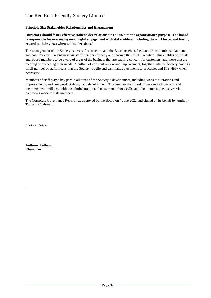#### **Principle Six: Stakeholder Relationships and Engagement**

**'Directors should foster effective stakeholder relationships aligned to the organisation's purpose. The board is responsible for overseeing meaningful engagement with stakeholders, including the workforce, and having regard to their views when taking decisions.'**

The management of the Society is a very flat structure and the Board receives feedback from members, claimants and enquirers for new business via staff members directly and through the Chief Executive. This enables both staff and Board members to be aware of areas of the business that are causing concern for customers, and those that are meeting or exceeding their needs. A culture of constant review and improvement, together with the Society having a small number of staff, means that the Society is agile and can make adjustments to processes and IT swiftly when necessary.

Members of staff play a key part in all areas of the Society's development, including website alterations and improvements, and new product design and development. This enables the Board to have input from both staff members, who will deal with the administration and customers' phone calls, and the members themselves via comments made to staff members.

The Corporate Governance Report was approved by the Board on 7 June 2022 and signed on its behalf by Anthony Totham, Chairman.

Anthony Totham

**Anthony Totham Chairman**

.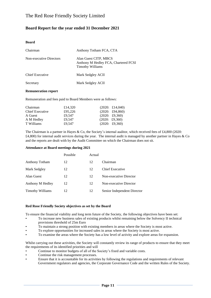#### **Board Report for the year ended 31 December 2021**

#### **Board**

| Chairman                | Anthony Totham FCA, CTA                                                                  |
|-------------------------|------------------------------------------------------------------------------------------|
| Non-executive Directors | Alan Guest CITP, MBCS<br>Anthony M Hedley FCA, Chartered FCSI<br><b>Timothy Williams</b> |
| Chief Executive         | Mark Sedgley ACII                                                                        |
| Secretary               | Mark Sedgley ACII                                                                        |

#### **Remuneration report**

Remuneration and fees paid to Board Members were as follows:

| Chairman        | £14.320 | $(2020: \pounds14,040)$ |
|-----------------|---------|-------------------------|
| Chief Executive | £95,226 | $(2020: \pounds94,860)$ |
| A Guest         | £9.547  | $(2020: \pounds9,360)$  |
| A M Hedley      | £9.547  | $(2020: \pounds9,360)$  |
| T Williams      | £9.547  | $(2020: \pounds9,360)$  |

The Chairman is a partner in Hayes & Co, the Society's internal auditor, which received fees of £4,800 (2020:  $£4,800$ ) for internal audit services during the year. The internal audit is managed by another partner in Hayes & Co and the reports are dealt with by the Audit Committee on which the Chairman does not sit.

#### **Attendance at Board meetings during 2021**

|                         | Possible | Actual |                             |
|-------------------------|----------|--------|-----------------------------|
| Anthony Totham          | 12       | 12     | Chairman                    |
| Mark Sedgley            | 12       | 12     | Chief Executive             |
| Alan Guest              | 12       | 12     | Non-executive Director      |
| Anthony M Hedley        | 12       | 12     | Non-executive Director      |
| <b>Timothy Williams</b> | 12       | 12     | Senior Independent Director |

#### **Red Rose Friendly Society objectives as set by the Board**

To ensure the financial viability and long term future of the Society, the following objectives have been set:

- To increase new business sales of existing products whilst remaining below the Solvency II technical provisions threshold of 25m Euro
- To maintain a strong position with existing members in areas where the Society is most active.
- To explore opportunities for increased sales in areas where the Society is most active.
- To examine the areas where the Society has a low level of activity and explore areas for expansion.

Whilst carrying out these activities, the Society will constantly review its range of products to ensure that they meet the requirements of its identified priorities and will

- Continue to monitor budgets of all of the Society's fixed and variable costs.
- Continue the risk management processes.
- Ensure that it is accountable for its activities by following the regulations and requirements of relevant Government regulators and agencies, the Corporate Governance Code and the written Rules of the Society.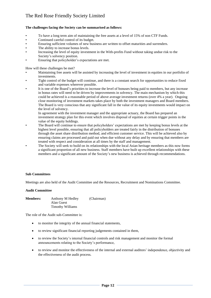#### **The challenges facing the Society can be summarised as follows:**

- To have a long term aim of maintaining the free assets at a level of 15% of non CTF Funds.
- Continued careful control of its budget.
- Ensuring sufficient volumes of new business are written to offset maturities and surrenders.
- The ability to increase bonus levels.
- Increasing the level of equity investment in the With-profits Fund without taking undue risk to the Society's solvency position.
- Ensuring that policyholder's expectations are met.

How will these challenges be met?

- Maintaining free assets will be assisted by increasing the level of investment in equities in our portfolio of investments.
- Tight control of the budget will continue, and there is a constant search for opportunities to reduce fixed and variable expenses wherever possible.
- It is one of the Board's priorities to increase the level of bonuses being paid to members, but any increase in bonus rates will need to be driven by improvements in solvency. The main mechanism by which this could be achieved is a reasonable period of above average investment returns (over 4% a year). Ongoing close monitoring of investment markets takes place by both the investment managers and Board members. The Board is very conscious that any significant fall in the value of its equity investments would impact on the level of solvency.

In agreement with the investment manager and the appropriate actuary, the Board has prepared an investment strategy plan for this event which involves disposal of equities at certain trigger points in the value of the equity holdings.

- The Board will continue to ensure that policyholders' expectations are met by keeping bonus levels at the highest level possible, ensuring that all policyholders are treated fairly in the distribution of bonuses through the asset share distribution method, and efficient customer service. This will be achieved also by ensuring claims are processed and paid out when due without any delay and by ensuring that members are treated with respect and consideration at all times by the staff and management.
- The Society will seek to build on its relationships with the local Asian heritage members as this now forms a significant proportion of all new business. Staff members have built up excellent relationships with these members and a significant amount of the Society's new business is achieved through recommendations.

#### **Sub Committees**

Meetings are also held of the Audit Committee and the Resources, Recruitment and Nominations Committee.

#### **Audit Committee**

**Members:** Anthony M Hedley (Chairman) Alan Guest Timothy Williams

The role of the Audit sub-Committee is:

- to monitor the integrity of the annual financial statements,
- to review significant financial reporting judgements contained in them,
- to review the Society's internal financial controls and risk management and monitor the formal announcements relating to the Society's performance,
- to review and monitor the effectiveness of the internal and external auditors' independence, objectivity and the effectiveness of the audit process.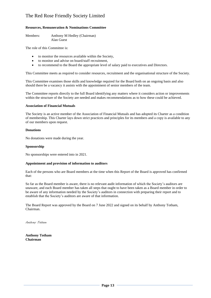#### **Resources, Remuneration & Nominations Committee**

Members: Anthony M Hedley (Chairman) Alan Guest

The role of this Committee is:

- to monitor the resources available within the Society,
- to monitor and advise on board/staff recruitment,
- to recommend to the Board the appropriate level of salary paid to executives and Directors.

This Committee meets as required to consider resources, recruitment and the organisational structure of the Society.

This Committee examines those skills and knowledge required for the Board both on an ongoing basis and also should there be a vacancy it assists with the appointment of senior members of the team.

The Committee reports directly to the full Board identifying any matters where it considers action or improvements within the structure of the Society are needed and makes recommendations as to how these could be achieved.

#### **Association of Financial Mutuals**

The Society is an active member of the Association of Financial Mutuals and has adopted its Charter as a condition of membership. This Charter lays down strict practices and principles for its members and a copy is available to any of our members upon request.

#### **Donations**

No donations were made during the year.

#### **Sponsorship**

No sponsorships were entered into in 2021.

#### **Appointment and provision of information to auditors**

Each of the persons who are Board members at the time when this Report of the Board is approved has confirmed that:

So far as the Board member is aware, there is no relevant audit information of which the Society's auditors are unaware, and each Board member has taken all steps that ought to have been taken as a Board member in order to be aware of any information needed by the Society's auditors in connection with preparing their report and to establish that the Society's auditors are aware of that information.

The Board Report was approved by the Board on 7 June 2022 and signed on its behalf by Anthony Totham, Chairman.

Anthony Totham

**Anthony Totham Chairman**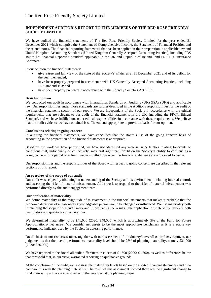#### **INDEPENDENT AUDITOR'S REPORT TO THE MEMBERS OF THE RED ROSE FRIENDLY SOCIETY LIMITED**

We have audited the financial statements of The Red Rose Friendly Society Limited for the year ended 31 December 2021 which comprise the Statement of Comprehensive Income, the Statement of Financial Position and the related notes. The financial reporting framework that has been applied in their preparation is applicable law and United Kingdom Accounting Standards (United Kingdom Generally Accepted Accounting Practice), including FRS 102 "The Financial Reporting Standard applicable in the UK and Republic of Ireland" and FRS 103 "Insurance Contracts".

In our opinion the financial statements:

- give a true and fair view of the state of the Society's affairs as at 31 December 2021 and of its deficit for the year then ended;
- have been properly prepared in accordance with UK Generally Accepted Accounting Practice, including FRS 102 and 103; and
- have been properly prepared in accordance with the Friendly Societies Act 1992.

#### **Basis for opinion**

We conducted our audit in accordance with International Standards on Auditing (UK) (ISAs (UK)) and applicable law. Our responsibilities under those standards are further described in the Auditor's responsibilities for the audit of the financial statements section of our report. We are independent of the Society in accordance with the ethical requirements that are relevant to our audit of the financial statements in the UK, including the FRC's Ethical Standard, and we have fulfilled our other ethical responsibilities in accordance with these requirements. We believe that the audit evidence we have obtained is sufficient and appropriate to provide a basis for our opinion.

#### **Conclusions relating to going concern**

In auditing the financial statements, we have concluded that the Board's use of the going concern basis of accounting in the preparation of the financial statements is appropriate.

Based on the work we have performed, we have not identified any material uncertainties relating to events or conditions that, individually or collectively, may cast significant doubt on the Society's ability to continue as a going concern for a period of at least twelve months from when the financial statements are authorised for issue.

Our responsibilities and the responsibilities of the Board with respect to going concern are described in the relevant sections of this report.

#### **An overview of the scope of our audit**

Our audit was scoped by obtaining an understanding of the Society and its environment, including internal control, and assessing the risks of material misstatement. Audit work to respond to the risks of material misstatement was performed directly by the audit engagement team.

#### **Our application of materiality**

We define materiality as the magnitude of misstatement in the financial statements that makes it probable that the economic decisions of a reasonably knowledgeable person would be changed or influenced. We use materiality both in planning the scope of our audit work and in evaluating the results. The application of materiality involves both quantitative and qualitative considerations.

We determined materiality to be £41,000 (2020: £48,000) which is approximately 5% of the Fund for Future Appropriations/ net assets. We consider net assets to be the most appropriate benchmark as it is a stable key performance indicator used by the Society in assessing performance.

On the basis of our risk assessment, together with our assessment of the Society's overall control environment, our judgement is that the overall performance materiality level should be 75% of planning materiality, namely £31,000 (2020: £36,000).

We have reported to the Board all audit differences in excess of £1,500 (2020: £1,800), as well as differences below that threshold that, in our view, warranted reporting on qualitative grounds.

At the conclusion of the audit, we re-assess the materiality levels based on the audited financial statements and then compare this with the planning materiality. The result of this assessment showed there was no significant change to final materiality and we are satisfied with the levels set at the planning stage.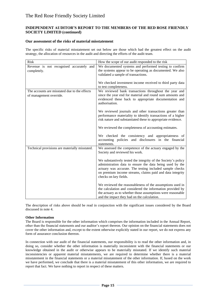#### **INDEPENDENT AUDITOR'S REPORT TO THE MEMBERS OF THE RED ROSE FRIENDLY SOCIETY LIMITED (continued)**

#### **Our assessment of the risks of material misstatement**

The specific risks of material misstatement set out below are those which had the greatest effect on the audit strategy, the allocation of resources in the audit and directing the efforts of the audit team.

| <b>Risk</b>                                    | How the scope of our audit responded to the risk                                                                   |
|------------------------------------------------|--------------------------------------------------------------------------------------------------------------------|
| Revenue is not recognised accurately and       | We documented systems and performed testing to confirm                                                             |
| completely.                                    | the systems appear to be operating as documented. We also                                                          |
|                                                | validated a sample of transactions.                                                                                |
|                                                | We checked investment income received to third party data                                                          |
|                                                | to test completeness.                                                                                              |
| The accounts are misstated due to the effects  | We reviewed bank transactions throughout the year and                                                              |
| of management override.                        | since the year end for material and round sum amounts and<br>evidenced these back to appropriate documentation and |
|                                                | authorisation.                                                                                                     |
|                                                | We reviewed journals and other transactions greater than                                                           |
|                                                | performance materiality to identify transactions of a higher                                                       |
|                                                | risk nature and substantiated these to appropriate evidence.                                                       |
|                                                | We reviewed the completeness of accounting estimates.                                                              |
|                                                | We checked the consistency and appropriateness of                                                                  |
|                                                | accounting policies and disclosures in the financial                                                               |
|                                                | statements.                                                                                                        |
| Technical provisions are materially misstated. | We assessed the competence of the actuary engaged by the<br>Society and reviewed his work.                         |
|                                                | We substantively tested the integrity of the Society's policy                                                      |
|                                                | administration data to ensure the data being used by the                                                           |
|                                                | actuary was accurate. The testing included sample checks                                                           |
|                                                | on premium income streams, claims paid and data integrity<br>checks on key fields.                                 |
|                                                | We reviewed the reasonableness of the assumptions used in                                                          |
|                                                | the calculation and considered the information provided by                                                         |
|                                                | the actuary as to whether those assumptions were reasonable                                                        |
|                                                | and the impact they had on the calculation.                                                                        |

The description of risks above should be read in conjunction with the significant issues considered by the Board discussed in note 4.

#### **Other Information**

The Board is responsible for the other information which comprises the information included in the Annual Report, other than the financial statements and our auditor's report thereon. Our opinion on the financial statements does not cover the other information and, except to the extent otherwise explicitly stated in our report, we do not express any form of assurance conclusion thereon.

In connection with our audit of the financial statements, our responsibility is to read the other information and, in doing so, consider whether the other information is materially inconsistent with the financial statements or our knowledge obtained in the audit or otherwise appears to be materially misstated. If we identify such material inconsistencies or apparent material misstatements, we are required to determine whether there is a material misstatement in the financial statements or a material misstatement of the other information. If, based on the work we have performed, we conclude that there is a material misstatement of this other information, we are required to report that fact. We have nothing to report in respect of these matters.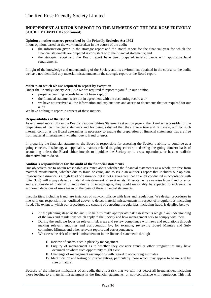#### **INDEPENDENT AUDITOR'S REPORT TO THE MEMBERS OF THE RED ROSE FRIENDLY SOCIETY LIMITED (continued)**

#### **Opinion on other matters prescribed by the Friendly Societies Act 1992**

In our opinion, based on the work undertaken in the course of the audit:

- the information given in the strategic report and the Board report for the financial year for which the financial statements are prepared is consistent with the financial statements; and
- the strategic report and the Board report have been prepared in accordance with applicable legal requirements.

In light of the knowledge and understanding of the Society and its environment obtained in the course of the audit, we have not identified any material misstatements in the strategic report or the Board report.

#### **Matters on which we are required to report by exception**

Under the Friendly Society Act 1992 we are required to report to you if, in our opinion:

- proper accounting records have not been kept; or
- the financial statements are not in agreement with the accounting records; or
- we have not received all the information and explanations and access to documents that we required for our audit.

We have nothing to report in respect of these matters.

#### **Responsibilities of the Board**

As explained more fully in the Board's Responsibilities Statement set out on page 7, the Board is responsible for the preparation of the financial statements and for being satisfied that they give a true and fair view, and for such internal control as the Board determines is necessary to enable the preparation of financial statements that are free from material misstatement, whether due to fraud or error.

In preparing the financial statements, the Board is responsible for assessing the Society's ability to continue as a going concern, disclosing, as applicable, matters related to going concern and using the going concern basis of accounting unless the Board either intends to liquidate the Society or to cease operations, or has no realistic alternative but to do so.

#### **Auditor's responsibilities for the audit of the financial statements**

Our objectives are to obtain reasonable assurance about whether the financial statements as a whole are free from material misstatement, whether due to fraud or error, and to issue an auditor's report that includes our opinion. Reasonable assurance is a high level of assurance but is not a guarantee that an audit conducted in accordance with ISAs (UK) will always detect a material misstatement when it exists. Misstatements can arise from fraud or error and are considered material if, individually or in aggregate, they could reasonably be expected to influence the economic decisions of users taken on the basis of these financial statements.

Irregularities, including fraud, are instances of non-compliance with laws and regulations. We design procedures in line with our responsibilities, outlined above, to detect material misstatements in respect of irregularities, including fraud. The extent to which our procedures are capable of detecting irregularities, including fraud, is detailed below:

- At the planning stage of the audit, to help us make appropriate risk assessments we gain an understanding of the laws and regulations which apply to the Society and how management seek to comply with them.
- During the audit we focus on relevant risk areas and review compliance with laws and regulations through making relevant enquiries and corroboration by, for example, reviewing Board Minutes and Subcommittee Minutes and other relevant reports and correspondence.
- We assess the risk of material misstatement in the financial statements through
	- I. Review of controls set in place by management
	- II. Enquiry of management as to whether they consider fraud or other irregularities may have occurred or where such opportunity might exist
	- III. Challenge of management assumptions with regard to accounting estimates
	- IV.Identification and testing of journal entries, particularly those which may appear to be unusual by size or nature.

Because of the inherent limitations of an audit, there is a risk that we will not detect all irregularities, including those leading to a material misstatement in the financial statements, or non-compliance with regulation. This risk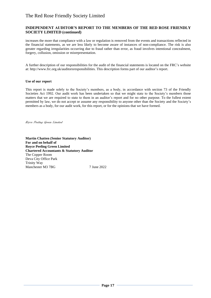#### **INDEPENDENT AUDITOR'S REPORT TO THE MEMBERS OF THE RED ROSE FRIENDLY SOCIETY LIMITED (continued)**

increases the more that compliance with a law or regulation is removed from the events and transactions reflected in the financial statements, as we are less likely to become aware of instances of non-compliance. The risk is also greater regarding irregularities occurring due to fraud rather than error, as fraud involves intentional concealment, forgery, collusion, omission or misrepresentation.

A further description of our responsibilities for the audit of the financial statements is located on the FRC's website at: http://www.frc.org.uk/auditorsresponsibilities. This description forms part of our auditor's report.

#### **Use of our report**

This report is made solely to the Society's members, as a body, in accordance with section 73 of the Friendly Societies Act 1992. Our audit work has been undertaken so that we might state to the Society's members those matters that we are required to state to them in an auditor's report and for no other purpose. To the fullest extent permitted by law, we do not accept or assume any responsibility to anyone other than the Society and the Society's members as a body, for our audit work, for this report, or for the opinions that we have formed.

Royce Peeling Green Limited

**Martin Chatten (Senior Statutory Auditor) For and on behalf of Royce Peeling Green Limited Chartered Accountants & Statutory Auditor** The Copper Room Deva City Office Park Trinity Way Manchester M3 7BG 7 June 2022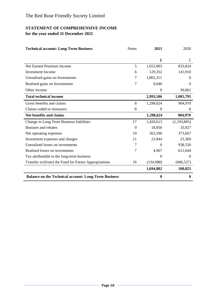# **STATEMENT OF COMPREHENSIVE INCOME for the year ended 31 December 2021**

| <b>Technical account: Long-Term Business</b>                | <b>Notes</b> | 2021           | 2020          |
|-------------------------------------------------------------|--------------|----------------|---------------|
|                                                             |              |                |               |
|                                                             |              | £              | $\pounds$     |
| Net Earned Premium Income                                   | 5            | 1,052,803      | 833,824       |
| <b>Investment Income</b>                                    | 6            | 129,352        | 141,910       |
| Unrealised gains on Investments                             | 7            | 1,802,311      | $\theta$      |
| Realised gains on Investments                               | 7            | 9,040          | $\Omega$      |
| Other income                                                |              | $\overline{0}$ | 30,061        |
| <b>Total technical income</b>                               |              | 2,993,506      | 1,005,795     |
| Gross benefits and claims                                   | 8            | 1,298,624      | 904,970       |
| Claims ceded to reinsurers                                  | 8            | $\overline{0}$ | $\theta$      |
| <b>Net benefits and claims</b>                              |              | 1,298,624      | 904,970       |
| Change in Long Term Business liabilities                    | 17           | 1,420,613      | (1, 193, 805) |
| Bonuses and rebates                                         | 9            | 18,850         | 33,927        |
| Net operating expenses                                      | 10           | 363,596        | 373,667       |
| Investment expenses and charges                             | 11           | 21,844         | 23,369        |
| Unrealised losses on investments                            | 7            | $\overline{0}$ | 938,550       |
| Realised losses on investments                              | 7            | 4,967          | 611,644       |
| Tax attributable to the long-term business                  |              | $\theta$       | $\theta$      |
| Transfer to/(from) the Fund for Future Appropriations       | 16           | (134,988)      | (686, 527)    |
|                                                             |              | 1,694,882      | 100,825       |
| <b>Balance on the Technical account: Long-Term Business</b> |              | $\bf{0}$       | $\bf{0}$      |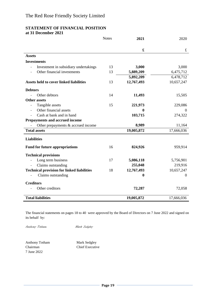#### **STATEMENT OF FINANCIAL POSITION at 31 December 2021**

|                                                    | <b>Notes</b> | 2021        | 2020             |
|----------------------------------------------------|--------------|-------------|------------------|
|                                                    |              | $\mathbf f$ | $\pounds$        |
| <b>Assets</b>                                      |              |             |                  |
| <b>Investments</b>                                 |              |             |                  |
| Investment in subsidiary undertakings              | 13           | 3,000       | 3,000            |
| Other financial investments                        | 13           | 5,889,209   | 6,475,712        |
|                                                    |              | 5,892,209   | 6,478,712        |
| <b>Assets held to cover linked liabilities</b>     | 13           | 12,767,493  | 10,657,247       |
| <b>Debtors</b>                                     |              |             |                  |
| Other debtors                                      | 14           | 11,493      | 15,505           |
| <b>Other assets</b>                                |              |             |                  |
| Tangible assets                                    | 15           | 221,973     | 229,086          |
| Other financial assets<br>$\overline{\phantom{a}}$ |              | 0           | $\mathbf{0}$     |
| Cash at bank and in hand                           |              | 103,715     | 274,322          |
| Prepayments and accrued income                     |              |             |                  |
| Other prepayments & accrued income                 |              | 8,989       | 11,164           |
| <b>Total assets</b>                                |              | 19,005,872  | 17,666,036       |
| <b>Liabilities</b>                                 |              |             |                  |
| <b>Fund for future appropriations</b>              | 16           | 824,926     | 959,914          |
| <b>Technical provisions</b>                        |              |             |                  |
| Long term business                                 | 17           | 5,086,118   | 5,756,901        |
| Claims outstanding                                 |              | 255,048     | 219,916          |
| <b>Technical provision for linked liabilities</b>  | 18           | 12,767,493  | 10,657,247       |
| Claims outstanding                                 |              | 0           | $\boldsymbol{0}$ |
| <b>Creditors</b>                                   |              |             |                  |
| Other creditors                                    |              | 72,287      | 72,058           |
| <b>Total liabilities</b>                           |              | 19,005,872  | 17,666,036       |

The financial statements on pages 18 to 40 were approved by the Board of Directors on 7 June 2022 and signed on its behalf by:

Anthony Totham Mark Sedgley

Anthony Totham Mark Sedgley Chairman Chief Executive 7 June 2022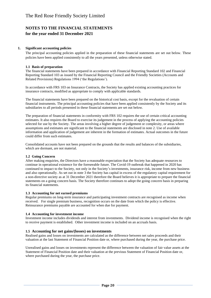#### **1. Significant accounting policies**

The principal accounting policies applied in the preparation of these financial statements are set out below. These policies have been applied consistently to all the years presented, unless otherwise stated.

#### **1.1 Basis of preparation**

The financial statements have been prepared in accordance with Financial Reporting Standard 102 and Financial Reporting Standard 103 as issued by the Financial Reporting Council and the Friendly Societies (Accounts and Related Provisions) Regulations 1994 ('the Regulations').

In accordance with FRS 103 on Insurance Contracts, the Society has applied existing accounting practices for insurance contracts, modified as appropriate to comply with applicable standards.

The financial statements have been prepared on the historical cost basis, except for the revaluation of certain financial instruments. The principal accounting policies that have been applied consistently by the Society and its subsidiaries to all periods presented in these financial statements are set out below.

The preparation of financial statements in conformity with FRS 102 requires the use of certain critical accounting estimates. It also requires the Board to exercise its judgement in the process of applying the accounting policies selected for use by the Society. The areas involving a higher degree of judgement or complexity, or areas where assumptions and estimates are significant to the financial statements are disclosed in note 2. Use of available information and application of judgement are inherent in the formation of estimates. Actual outcomes in the future could differ from such estimates.

Consolidated accounts have not been prepared on the grounds that the results and balances of the subsidiaries, which are dormant, are not material.

#### **1.2 Going Concern**

After making enquiries, the Directors have a reasonable expectation that the Society has adequate resources to continue in operational existence for the foreseeable future. The Covid-19 outbreak that happened in 2020 has continued to impact to the Society, not only in the Society's investments, insurance risk, income from new business and also operationally. As set out in note 3 the Society has capital in excess of the regulatory capital requirement for a non-directive society as at 31 December 2021 therefore the Board believes it is appropriate to prepare the financial statements on a going concern basis. The Society therefore continues to adopt the going concern basis in preparing its financial statements.

#### **1.3 Accounting for net earned premiums**

Regular premiums on long-term insurance and participating investment contracts are recognised as income when received. For single premium business, recognition occurs on the date from which the policy is effective. Reinsurance premiums payable are accounted for when due for payment.

#### **1.4 Accounting for investment income**

Investment income includes dividends and interest from investments. Dividend income is recognised when the right to receive payment is established. Other investment income is included on an accruals basis.

#### **1.5 Accounting for net gains/(losses) on investments**

Realised gains and losses on investments are calculated as the difference between net sales proceeds and their valuation at the last Statement of Financial Position date or, where purchased during the year, the purchase price.

Unrealised gains and losses on investments represent the difference between the valuation of fair value assets at the Statement of Financial Position date and their valuation at the previous Statement of Financial Position date or, where purchased during the year, the purchase price.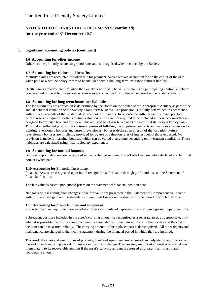#### **1. Significant accounting policies (continued)**

#### **1.6 Accounting for other income**

Other income primarily relates to ground rents and is recognised when received by the Society.

#### **1.7 Accounting for claims and benefits**

Maturity claims are accounted for when due for payment. Surrenders are accounted for on the earlier of the date when paid or when the policy ceases to be included within the long-term insurance contract liability.

Death claims are accounted for when the Society is notified. The value of claims on participating contracts includes bonuses paid or payable. Reinsurance recoveries are accounted for in the same period as the related claim.

#### **1.8 Accounting for long term insurance liabilities**

The long-term business provision is determined by the Board on the advice of the Appropriate Actuary as part of the annual actuarial valuation of the Society's long-term business. The provision is initially determined in accordance with the requirements of the Prudential Sourcebook for Insurers. In accordance with normal insurance practice, certain reserves required for the statutory valuation returns are not required to be included in these accounts that are designed to present a true and fair view. This adjusted basis is referred to as the modified statutory solvency basis. This makes sufficient provision for future expenses of fulfilling the long-term contracts and includes a provision for existing reversionary bonuses and current reversionary bonuses declared as a result of the valuation. Future reversionary bonuses are implicitly provided for by use of valuation rates of interest below those expected. No provision is made for terminal bonuses, which can be varied at any time depending on investment conditions. These liabilities are calculated using historic Society experience.

#### **1.9 Accounting for mutual bonuses**

Bonuses to policyholders are recognised in the Technical Account Long-Term Business when declared and terminal bonuses when paid.

#### **1.10 Accounting for Financial Investment**

Financial Assets are designated upon initial recognition at fair value through profit and loss on the Statement of Financial Position.

The fair value is based upon quoted prices on the statement of financial position date.

Net gains or loss arising from changes in the fair value are presented in the Statement of Comprehensive Income within 'unrealised gain on investments' or 'unrealised losses on investments' in the period in which they arise.

#### **1.11 Accounting for property, plant and equipment**

Property, plant and equipment are stated at cost less accumulated depreciation and any recognised impairment loss.

Subsequent costs are included in the asset's carrying amount or recognised as a separate asset, as appropriate, only when it is probable that future economic benefits associated with the item will flow to the Society and the cost of the item can be measured reliably. The carrying amount of the replaced part is derecognised. All other repairs and maintenance are charged to the income statement during the financial period in which they are incurred.

The residual values and useful lives of property, plant and equipment are reviewed, and adjusted if appropriate, at the end of each reporting period if there are indicators of change. The carrying amount of an asset is written down immediately to its recoverable amount if the asset's carrying amount is assessed as greater than its estimated recoverable amount.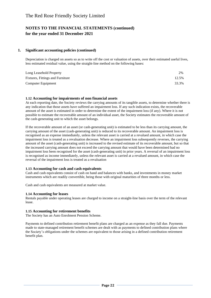#### **1. Significant accounting policies (continued)**

Depreciation is charged on assets so as to write off the cost or valuation of assets, over their estimated useful lives, less estimated residual value, using the straight-line method on the following bases:

| Long Leasehold Property          | 2%    |
|----------------------------------|-------|
| Fixtures, Fittings and Furniture | 12.5% |
| Computer Equipment               | 33.3% |

#### **1.12 Accounting for impairments of non financial assets**

At each reporting date, the Society reviews the carrying amounts of its tangible assets, to determine whether there is any indication that those assets have suffered an impairment loss. If any such indication exists, the recoverable amount of the asset is estimated in order to determine the extent of the impairment loss (if any). Where it is not possible to estimate the recoverable amount of an individual asset, the Society estimates the recoverable amount of the cash-generating unit to which the asset belongs.

If the recoverable amount of an asset (or cash-generating unit) is estimated to be less than its carrying amount, the carrying amount of the asset (cash-generating unit) is reduced to its recoverable amount. An impairment loss is recognised as an expense immediately, unless the relevant asset is carried at a revalued amount, in which case the impairment loss is treated as a revaluation decrease. Where an impairment loss subsequently reverses, the carrying amount of the asset (cash-generating unit) is increased to the revised estimate of its recoverable amount, but so that the increased carrying amount does not exceed the carrying amount that would have been determined had no impairment loss been recognised for the asset (cash-generating unit) in prior years. A reversal of an impairment loss is recognised as income immediately, unless the relevant asset is carried at a revalued amount, in which case the reversal of the impairment loss is treated as a revaluation

#### **1.13 Accounting for cash and cash equivalents**

Cash and cash equivalents consist of cash on hand and balances with banks, and investments in money market instruments which are readily convertible, being those with original maturities of three months or less.

Cash and cash equivalents are measured at market value.

#### **1.14 Accounting for leases**

Rentals payable under operating leases are charged to income on a straight-line basis over the term of the relevant lease.

#### **1.15 Accounting for retirement benefits**

The Society has an Auto Enrolment Pension Scheme.

Payments to defined contribution retirement benefit plans are charged as an expense as they fall due. Payments made to state-managed retirement benefit schemes are dealt with as payments to defined contribution plans where the Society's obligations under the schemes are equivalent to those arising in a defined contribution retirement benefit plan.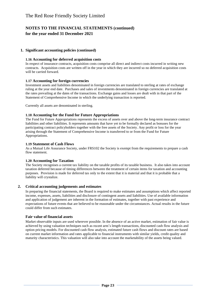#### **1. Significant accounting policies (continued)**

#### **1.16 Accounting for deferred acquisition costs**

In respect of insurance contracts, acquisition costs comprise all direct and indirect costs incurred in writing new contracts. Acquisition costs are written off in the year in which they are incurred so no deferred acquisition costs will be carried forward.

#### **1.17 Accounting for foreign currencies**

Investment assets and liabilities denominated in foreign currencies are translated to sterling at rates of exchange ruling at the year end date. Purchases and sales of investments denominated in foreign currencies are translated at the rates prevailing at the dates of the transactions. Exchange gains and losses are dealt with in that part of the Statement of Comprehensive Income in which the underlying transaction is reported.

Currently all assets are denominated in sterling.

#### **1.18 Accounting for the Fund for Future Appropriations**

The Fund for Future Appropriations represents the excess of assets over and above the long-term insurance contract liabilities and other liabilities. It represents amounts that have yet to be formally declared as bonuses for the participating contract policyholders together with the free assets of the Society. Any profit or loss for the year arising through the Statement of Comprehensive Income is transferred to or from the Fund for Future Appropriations.

#### **1.19 Statement of Cash Flows**

As a Mutual Life Assurance Society, under FRS102 the Society is exempt from the requirements to prepare a cash flow statement.

#### **1.20 Accounting for Taxation**

The Society recognises a current tax liability on the taxable profits of its taxable business. It also takes into account taxation deferred because of timing differences between the treatment of certain items for taxation and accounting purposes. Provision is made for deferred tax only to the extent that it is material and that it is probable that a liability will crystalize.

#### **2. Critical accounting judgements and estimates**

In preparing the financial statements, the Board is required to make estimates and assumptions which affect reported income, expenses, assets, liabilities and disclosure of contingent assets and liabilities. Use of available information and application of judgement are inherent in the formation of estimates, together with past experience and expectations of future events that are believed to be reasonable under the circumstances. Actual results in the future could differ from such estimates.

#### **Fair value of financial assets**

Market observable inputs are used wherever possible. In the absence of an active market, estimation of fair value is achieved by using valuation techniques such as recent arm's length transactions, discounted cash flow analysis and option pricing models. For discounted cash flow analysis, estimated future cash flows and discount rates are based on current market information and rates applicable to financial instruments with similar yields, credit quality and maturity characteristics. This valuation will also take into account the marketability of the assets being valued.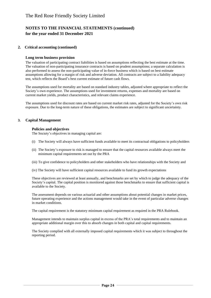#### **2. Critical accounting (continued)**

#### **Long term business provision**

The valuation of participating contract liabilities is based on assumptions reflecting the best estimate at the time. The valuation of non-participating insurance contracts is based on prudent assumptions; a separate calculation is also performed to assess the non-participating value of in-force business which is based on best estimate assumptions allowing for a margin of risk and adverse deviation. All contracts are subject to a liability adequacy test, which reflects the Board's best current estimate of future cash flows.

The assumptions used for mortality are based on standard industry tables, adjusted where appropriate to reflect the Society's own experience. The assumptions used for investment returns, expenses and mortality are based on current market yields, product characteristics, and relevant claims experience.

The assumptions used for discount rates are based on current market risk rates, adjusted for the Society's own risk exposure. Due to the long-term nature of these obligations, the estimates are subject to significant uncertainty.

#### **3. Capital Management**

#### **Policies and objectives**

The Society's objectives in managing capital are:

- (i) The Society will always have sufficient funds available to meet its contractual obligations to policyholders
- (ii) The Society's exposure to risk is managed to ensure that the capital resources available always meet the minimum capital requirements set out by the PRA
- (iii) To give confidence to policyholders and other stakeholders who have relationships with the Society and
- (iv) The Society will have sufficient capital resources available to fund its growth expectations

These objectives are reviewed at least annually, and benchmarks are set by which to judge the adequacy of the Society's capital. The capital position is monitored against those benchmarks to ensure that sufficient capital is available to the Society.

The assessment depends on various actuarial and other assumptions about potential changes in market prices, future operating experience and the actions management would take in the event of particular adverse changes in market conditions.

The capital requirement is the statutory minimum capital requirement as required in the PRA Rulebook.

Management intends to maintain surplus capital in excess of the PRA's total requirements and to maintain an appropriate additional margin over this to absorb changes in both capital and capital requirements.

The Society complied with all externally imposed capital requirements which it was subject to throughout the reporting period.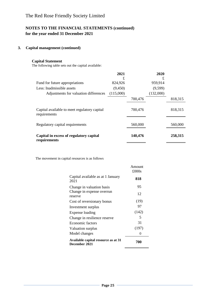#### **3. Capital management (continued)**

#### **Capital Statement**

The following table sets out the capital available:

|                                                              | 2021      |         | 2020      |         |
|--------------------------------------------------------------|-----------|---------|-----------|---------|
|                                                              | £         |         | £         |         |
| Fund for future appropriations                               | 824,926   |         | 959,914   |         |
| Less: Inadmissible assets                                    | (9,450)   |         | (9,599)   |         |
| Adjustments for valuation differences                        | (115,000) |         | (132,000) |         |
|                                                              |           | 700,476 |           | 818,315 |
| Capital available to meet regulatory capital<br>requirements |           | 700,476 |           | 818,315 |
| Regulatory capital requirements                              |           | 560,000 |           | 560,000 |
| Capital in excess of regulatory capital<br>requirements      |           | 140,476 |           | 258,315 |

The movement in capital resources is as follows

|                                                      | Amount<br>£000s |
|------------------------------------------------------|-----------------|
| Capital available as at 1 January<br>2021            | 818             |
| Change in valuation basis                            | 95              |
| Change in expense overrun<br>reserve                 | 12              |
| Cost of reversionary bonus                           | (19)            |
| Investment surplus                                   | 97              |
| Expense loading                                      | (142)           |
| Change in resilience reserve                         | 5               |
| Economic factors                                     | 31              |
| Valuation surplus                                    | (197)           |
| Model changes                                        | 0               |
| Available capital resource as at 31<br>December 2021 | 700             |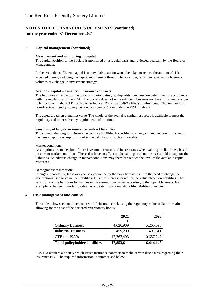#### **3. Capital management (continued)**

#### **Measurement and monitoring of capital**

The capital position of the Society is monitored on a regular basis and reviewed quarterly by the Board of Management.

In the event that sufficient capital is not available, action would be taken to reduce the amount of risk accepted thereby reducing the capital requirement through, for example, reinsurance, reducing business volumes or a change in investment strategy.

#### **Available capital – Long term insurance contracts**

The liabilities in respect of the Society's participating (with-profits) business are determined in accordance with the regulations of the PRA. The Society does not write sufficient business nor have sufficient reserves to be included in the EU Directive on Solvency (Directive 2009/138/EC) requirements. The Society is a non-directive friendly society i.e. a non-solvency 2 firm under the PRA rulebook

The assets are taken at market value. The whole of the available capital resources is available to meet the regulatory and other solvency requirements of the fund.

#### **Sensitivity of long-term insurance contract liabilities**

The value of the long term insurance contract liabilities is sensitive to changes in market conditions and to the demographic assumptions used in the calculations, such as mortality.

#### Market conditions

Assumptions are made about future investment returns and interest rates when valuing the liabilities, based on current market conditions. These also have an effect on the value placed on the assets held to support the liabilities. An adverse change in market conditions may therefore reduce the level of the available capital resources.

#### Demographic assumptions

Changes in mortality, lapse or expense experience by the Society may result in the need to change the assumptions used to value the liabilities. This may increase or reduce the value placed on liabilities. The sensitivity of the liabilities to changes in the assumptions varies according to the type of business. For example, a change in mortality rates has a greater impact on whole life liabilities than ISAs.

#### **4. Risk management and control**

The table below sets out the exposure to life insurance risk using the regulatory value of liabilities after allowing for the cost of the declared reversionary bonus:

|                                       | 2021       | 2020       |
|---------------------------------------|------------|------------|
|                                       | £          | £          |
| <b>Ordinary Business</b>              | 4,626,909  | 5,265,590  |
| <b>Industrial Business</b>            | 459,209    | 491,311    |
| $CTF$ and $ISA's$                     | 12,767,493 | 10,657,247 |
| <b>Total policyholder liabilities</b> | 17,853,611 | 16,414,148 |

FRS 103 requires a Society which issues insurance contracts to make certain disclosures regarding their insurance risk. The required information is summarised below.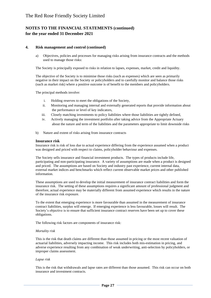#### **4. Risk management and control (continued)**

a) Objectives, policies and processes for managing risks arising from insurance contracts and the methods used to manage those risks:

The Society is principally exposed to risks in relation to lapses, expenses, market, credit and liquidity.

The objective of the Society is to minimise those risks (such as expenses) which are seen as primarily negative in their impact on the Society or policyholders and to carefully monitor and balance those risks (such as market risk) where a positive outcome is of benefit to the members and policyholders.

The principal methods involve:

- i. Holding reserves to meet the obligations of the Society,
- ii. Monitoring and managing internal and externally generated reports that provide information about the performance or level of key indicators,
- iii. Closely matching investments to policy liabilities where those liabilities are tightly defined,
- iv. Actively managing the investment portfolio after taking advice from the Appropriate Actuary about the nature and term of the liabilities and the parameters appropriate to limit downside risks
- b) Nature and extent of risks arising from insurance contracts

#### **Insurance risk**

Insurance risk is risk of loss due to actual experience differing from the experience assumed when a product was designed and priced with respect to claims, policyholder behaviour and expenses.

The Society sells insurance and financial investment products. The types of products include life, participating and non-participating insurance. A variety of assumptions are made when a product is designed and priced. The assumptions are based on Society and industry past experience, current internal data, external market indices and benchmarks which reflect current observable market prices and other published information.

These assumptions are used to develop the initial measurement of insurance contract liabilities and form the insurance risk. The setting of these assumptions requires a significant amount of professional judgment and therefore, actual experience may be materially different from assumed experience which results in the nature of the insurance risk exposure.

To the extent that emerging experience is more favourable than assumed in the measurement of insurance contract liabilities, surplus will emerge. If emerging experience is less favourable, losses will result. The Society's objective is to ensure that sufficient insurance contract reserves have been set up to cover these obligations.

The following risk factors are components of insurance risk:

#### *Mortality risk*

This is the risk that death claims are different than those assumed in pricing or the most recent valuation of actuarial liabilities, adversely impacting income. This risk includes both mis-estimation in pricing, and adverse experience resulting from any combination of weak underwriting, anti-selection by policyholders, or improper claims assessment.

#### *Lapse risk*

This is the risk that withdrawals and lapse rates are different than those assumed. This risk can occur on both insurance and investment contracts.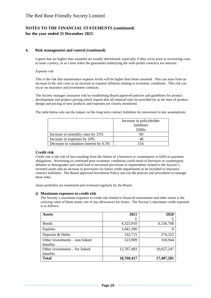#### **4. Risk management and control (continued)**

Lapses that are higher than assumed are usually detrimental, especially if they occur prior to recovering costs to issue a policy, or at a time when the guarantees underlying the with-profits contracts are onerous.

#### *Expense risk*

This is the risk that maintenance expense levels will be higher than those assumed. This can arise from an increase in the unit costs or an increase in expense inflation relating to economic conditions. This risk can occur on insurance and investment contracts.

The Society manages insurance risk by establishing Board approved policies and guidelines for product development and product pricing which require that all material risks be provided for at the time of product design and pricing of new products and expenses are closely monitored.

The table below sets out the impact on the long term contract liabilities for movement in key assumptions:

|                                        | Increase in policyholder |
|----------------------------------------|--------------------------|
|                                        | liabilities              |
|                                        | $\pounds000s$            |
| Increase in mortality rates by 15%     | 60                       |
| Increase in expenses by 10%            | 46                       |
| Decrease in valuation interest by 0.5% | 154                      |

#### **Credit risk**

Credit risk is the risk of loss resulting from the failure of a borrower or counterparty to fulfil its payment obligations. Worsening or continued poor economic conditions could result in borrower or counterparty defaults or downgrades and could lead to increased provisions or impairments related to the Society's invested assets and an increase in provisions for future credit impairments to be included in insurance contract liabilities. The Board approved Investment Policy sets out the policies and procedures to manage these risks.

Asset portfolios are monitored and reviewed regularly by the Board.

#### **i) Maximum exposure to credit risk**

The Society's maximum exposure to credit risk related to financial instruments and other assets is the carrying value of those assets, net of any allowances for losses. The Society's maximum credit exposure is as follows:

| <b>Assets</b>                              | 2021       | 2020       |
|--------------------------------------------|------------|------------|
|                                            | £          |            |
| <b>Bonds</b>                               | 4,323,910  | 6,156,768  |
| Equities                                   | 1,041,390  |            |
| Deposits & Debts                           | 103,715    | 274,322    |
| Other investments – non linked<br>benefits | 523,909    | 318,944    |
| Other investments – for linked<br>benefits | 12,767,493 | 10,657,247 |
| <b>Total</b>                               | 18,760,417 | 17,407,281 |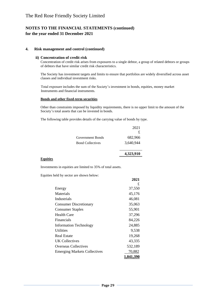#### **4. Risk management and control (continued)**

#### **ii) Concentration of credit risk**

Concentration of credit risk arises from exposures to a single debtor, a group of related debtors or groups of debtors that have similar credit risk characteristics.

The Society has investment targets and limits to ensure that portfolios are widely diversified across asset classes and individual investment risks.

 Total exposure includes the sum of the Society's investment in bonds, equities, money market Instruments and financial instruments.

#### **Bonds and other fixed-term securities**

Other than constraints imposed by liquidity requirements, there is no upper limit to the amount of the Society's total assets that can be invested in bonds.

The following table provides details of the carrying value of bonds by type.

|                         | 2021      |
|-------------------------|-----------|
|                         | £         |
| Government Bonds        | 682,966   |
| <b>Bond Collectives</b> | 3,640,944 |
|                         |           |
|                         | 4,323,910 |

#### **Equities**

Investments in equities are limited to 35% of total assets.

Equities held by sector are shown below:

|                                     | 2021      |
|-------------------------------------|-----------|
|                                     | £         |
| Energy                              | 37,550    |
| Materials                           | 45,176    |
| Industrials                         | 46,081    |
| <b>Consumer Discretionary</b>       | 35,063    |
| <b>Consumer Staples</b>             | 55,901    |
| <b>Health Care</b>                  | 37,296    |
| <b>Financials</b>                   | 84,226    |
| <b>Information Technology</b>       | 24,885    |
| Utilities                           | 9,538     |
| <b>Real Estate</b>                  | 19,268    |
| UK Collectives                      | 43,335    |
| <b>Overseas Collectives</b>         | 532,189   |
| <b>Emerging Markets Collectives</b> | 70,882    |
|                                     | 1.041.390 |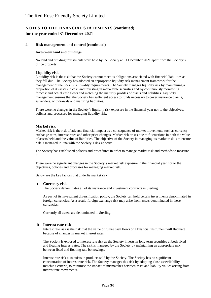#### **4. Risk management and control (continued)**

#### **Investment land and buildings**

No land and building investments were held by the Society at 31 December 2021 apart from the Society's office property.

#### **Liquidity risk**

Liquidity risk is the risk that the Society cannot meet its obligations associated with financial liabilities as they fall due. The Society has adopted an appropriate liquidity risk management framework for the management of the Society's liquidity requirements. The Society manages liquidity risk by maintaining a proportion of its assets in cash and investing in marketable securities and by continuously monitoring forecast and actual cash flows and matching the maturity profiles of assets and liabilities. Liquidity management ensures that the Society has sufficient access to funds necessary to cover insurance claims, surrenders, withdrawals and maturing liabilities.

There were no changes in the Society's liquidity risk exposure in the financial year nor to the objectives, policies and processes for managing liquidity risk.

#### **Market risk**

Market risk is the risk of adverse financial impact as a consequence of market movements such as currency exchange rates, interest rates and other price changes. Market risk arises due to fluctuations in both the value of assets held and the value of liabilities. The objective of the Society in managing its market risk is to ensure risk is managed in line with the Society's risk appetite.

The Society has established policies and procedures in order to manage market risk and methods to measure it.

There were no significant changes in the Society's market risk exposure in the financial year nor to the objectives, policies and processes for managing market risk.

Below are the key factors that underlie market risk:

#### **i) Currency risk**

The Society denominates all of its insurance and investment contracts in Sterling.

As part of its investment diversification policy, the Society can hold certain investments denominated in foreign currencies. As a result, foreign exchange risk may arise from assets denominated in these currencies.

Currently all assets are denominated in Sterling.

#### **ii) Interest rate risk**

Interest rate risk is the risk that the value of future cash flows of a financial instrument will fluctuate because of changes in market interest rates.

The Society is exposed to interest rate risk as the Society invests in long term securities at both fixed and floating interest rates. The risk is managed by the Society by maintaining an appropriate mix between fixed and floating rate borrowings.

Interest rate risk also exists in products sold by the Society. The Society has no significant concentration of interest rate risk. The Society manages this risk by adopting close asset/liability matching criteria, to minimise the impact of mismatches between asset and liability values arising from interest rate movements.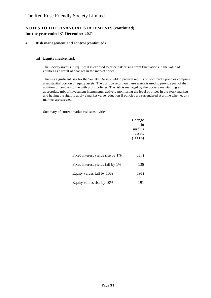#### **4. Risk management and control (continued)**

#### **iii) Equity market risk**

The Society invests in equities it is exposed to price risk arising from fluctuations in the value of equities as a result of changes in the market prices.

This is a significant risk for the Society. Assets held to provide returns on with profit policies comprise a substantial portion of equity assets. The positive return on these assets is used to provide part of the addition of bonuses to the with profit policies. The risk is managed by the Society maintaining an appropriate mix of investment instruments, actively monitoring the level of prices in the stock markets and having the right to apply a market value reduction if policies are surrendered at a time when equity markets are stressed.

Summary of current market risk sensitivities

|                                  | Change          |
|----------------------------------|-----------------|
|                                  | in              |
|                                  | surplus         |
|                                  | assets          |
|                                  | $(\pounds000s)$ |
|                                  |                 |
| Fixed interest yields rise by 1% | (117)           |
| Fixed interest yields fall by 1% | 136             |
| Equity values fall by 10%        | (191)           |
| Equity values rise by 10%        | 191             |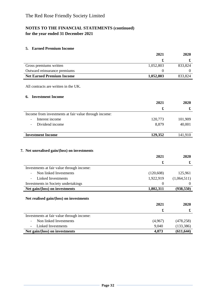#### **5. Earned Premium Income**

|                                                                        | 2021                 | 2020                     |
|------------------------------------------------------------------------|----------------------|--------------------------|
|                                                                        | £                    | £                        |
| Gross premiums written                                                 | 1,052,803            | 833,824                  |
| Outward reinsurance premiums                                           | $\boldsymbol{0}$     | $\mathbf{0}$             |
| <b>Net Earned Premium Income</b>                                       | 1,052,803            | 833,824                  |
| All contracts are written in the UK.                                   |                      |                          |
| <b>Investment Income</b><br>6.                                         |                      |                          |
|                                                                        | 2021                 | 2020                     |
|                                                                        | £                    | £                        |
| Income from investments at fair value through income:                  |                      |                          |
| Interest income                                                        | 120,773              | 101,909                  |
| Dividend income                                                        | 8,879                | 40,001                   |
| <b>Investment Income</b>                                               | 129,352              | 141,910                  |
| 7. Net unrealised gain/(loss) on investments                           | 2021                 | 2020                     |
|                                                                        | £                    | £                        |
| Investments at fair value through income:                              |                      |                          |
| Non linked Investments<br>$\overline{a}$                               | (120, 608)           | 125,961                  |
| <b>Linked Investments</b>                                              | 1,922,919            | (1,064,511)              |
| Investments in Society undertakings                                    | $\Omega$             | $\Omega$                 |
| Net gain/(loss) on investments                                         | 1,802,311            | (938, 550)               |
| Net realised gain/(loss) on investments                                |                      |                          |
|                                                                        | 2021                 | 2020                     |
|                                                                        | $\pmb{\mathfrak{L}}$ | £                        |
|                                                                        |                      |                          |
|                                                                        | (4,967)              |                          |
| Non linked Investments                                                 |                      |                          |
| Investments at fair value through income:<br><b>Linked Investments</b> | 9,040                | (478, 258)<br>(133, 386) |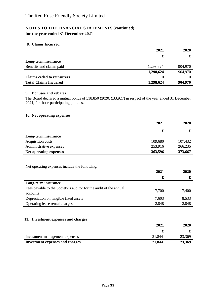#### **8. Claims Incurred**

|                                   | 2021      | 2020    |
|-----------------------------------|-----------|---------|
|                                   | £         | æ       |
| Long-term insurance               |           |         |
| Benefits and claims paid          | 1,298,624 | 904,970 |
|                                   | 1,298,624 | 904,970 |
| <b>Claims ceded to reinsurers</b> | 0         |         |
| <b>Total Claims Incurred</b>      | 1,298,624 | 904,970 |

#### **9. Bonuses and rebates**

The Board declared a mutual bonus of £18,850 (2020: £33,927) in respect of the year ended 31 December 2021, for those participating policies.

#### **10. Net operating expenses**

|                         | 2021    | 2020    |
|-------------------------|---------|---------|
|                         | £       | £       |
| Long-term insurance     |         |         |
| Acquisition costs       | 109,680 | 107,432 |
| Administrative expenses | 253,916 | 266,235 |
| Net operating expenses  | 363,596 | 373,667 |

Net operating expenses include the following:

|                                                                               | 2021   | 2020   |
|-------------------------------------------------------------------------------|--------|--------|
|                                                                               | £      | £      |
| Long-term insurance                                                           |        |        |
| Fees payable to the Society's auditor for the audit of the annual<br>accounts | 17,700 | 17,400 |
| Depreciation on tangible fixed assets                                         | 7,603  | 8,533  |
| Operating lease rental charges                                                | 2,848  | 2,848  |

### **11. Investment expenses and charges**

|                                        | 2021   | 2020   |
|----------------------------------------|--------|--------|
|                                        |        |        |
| Investment management expenses         | 21,844 | 23,369 |
| <b>Investment expenses and charges</b> | 21,844 | 23,369 |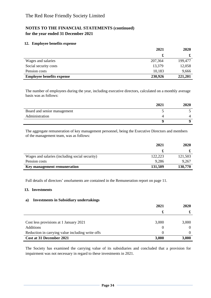#### **12. Employee benefits expense**

|                                  | 2021    | 2020    |
|----------------------------------|---------|---------|
|                                  | £       |         |
| Wages and salaries               | 207,364 | 199,477 |
| Social security costs            | 13,379  | 12,058  |
| Pension costs                    | 10,183  | 9,666   |
| <b>Employee benefits expense</b> | 230,926 | 221,201 |

The number of employees during the year, including executive directors, calculated on a monthly average basis was as follows:

|                             | 2021 | 2020 |
|-----------------------------|------|------|
| Board and senior management |      |      |
| Administration              |      |      |
|                             |      |      |

The aggregate remuneration of key management personnel, being the Executive Directors and members of the management team, was as follows:

|                                                | 2021    | 2020    |
|------------------------------------------------|---------|---------|
|                                                |         |         |
| Wages and salaries (including social security) | 122,223 | 121,503 |
| Pension costs                                  | 9,286   | 9,267   |
| Key management remuneration                    | 131,509 | 130,770 |

Full details of directors' emoluments are contained in the Remuneration report on page 11.

#### **13. Investments**

#### **a) Investments in Subsidiary undertakings**

|                                                  | 2021              | 2020  |
|--------------------------------------------------|-------------------|-------|
|                                                  | x                 | æ     |
|                                                  |                   |       |
| Cost less provisions at 1 January 2021           | 3,000             | 3,000 |
| Additions                                        |                   |       |
| Reduction in carrying value including write offs | $\mathbf{\Omega}$ |       |
| Cost at 31 December 2021                         | 3,000             | 3,000 |

The Society has examined the carrying value of its subsidiaries and concluded that a provision for impairment was not necessary in regard to these investments in 2021.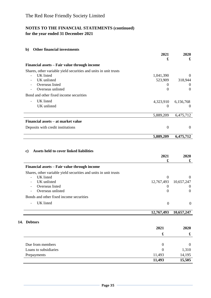### **b) Other financial investments**

|                                                                  | 2021      | 2020      |
|------------------------------------------------------------------|-----------|-----------|
|                                                                  | £         | £         |
| Financial assets – Fair value through income                     |           |           |
| Shares, other variable yield securities and units in unit trusts |           |           |
| UK listed<br>$\overline{a}$                                      | 1,041,390 | $\Omega$  |
| UK unlisted                                                      | 523,909   | 318,944   |
| Overseas listed                                                  |           | $\theta$  |
| Overseas unlisted                                                | $\Omega$  | $\Omega$  |
| Bond and other fixed income securities                           |           |           |
| UK listed<br>$\overline{a}$                                      | 4,323,910 | 6,156,768 |
| UK unlisted                                                      | $\theta$  | $\theta$  |
|                                                                  | 5,889,209 | 6,475,712 |
| Financial assets – at market value                               |           |           |
| Deposits with credit institutions                                | $\Omega$  | $\theta$  |
|                                                                  | 5,889,209 | 6,475,712 |
|                                                                  |           |           |

### **c) Assets held to cover linked liabilities**

|                                                                  | 2021             | 2020           |
|------------------------------------------------------------------|------------------|----------------|
|                                                                  | £                | £              |
| Financial assets – Fair value through income                     |                  |                |
| Shares, other variable yield securities and units in unit trusts |                  |                |
| <b>UK</b> listed<br>$\overline{\phantom{0}}$                     | $\boldsymbol{0}$ | $\theta$       |
| UK unlisted                                                      | 12,767,493       | 10,657,247     |
| Overseas listed                                                  | $\Omega$         | $\theta$       |
| Overseas unlisted                                                | 0                | $\overline{0}$ |
| Bonds and other fixed income securities                          |                  |                |
| UK listed<br>$\overline{\phantom{0}}$                            | $\boldsymbol{0}$ | $\theta$       |
|                                                                  | 12,767,493       | 10,657,247     |
| <b>Debtors</b><br>14.                                            |                  |                |
|                                                                  | 2021             | 2020           |
|                                                                  |                  |                |
|                                                                  | £                | £              |
| Due from members                                                 | $\Omega$         | $\theta$       |
| Loans to subsidiaries                                            | $\theta$         | 1,310          |
| Prepayments                                                      | 11,493           | 14,195         |
|                                                                  | 11,493           | 15,505         |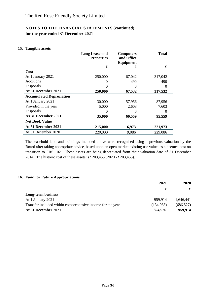#### **15. Tangible assets**

|                                 | <b>Long Leasehold</b><br><b>Properties</b> | <b>Computers</b><br>and Office | <b>Total</b> |
|---------------------------------|--------------------------------------------|--------------------------------|--------------|
|                                 |                                            | Equipment                      |              |
|                                 | £                                          | £                              | £            |
| <b>Cost</b>                     |                                            |                                |              |
| At 1 January 2021               | 250,000                                    | 67,042                         | 317,042      |
| <b>Additions</b>                |                                            | 490                            | 490          |
| Disposals                       | 0                                          | $\theta$                       | $\theta$     |
| At 31 December 2021             | 250,000                                    | 67,532                         | 317,532      |
| <b>Accumulated Depreciation</b> |                                            |                                |              |
| At 1 January 2021               | 30,000                                     | 57,956                         | 87,956       |
| Provided in the year            | 5,000                                      | 2,603                          | 7,603        |
| Disposals                       | $\Omega$                                   | 0                              | 0            |
| As 31 December 2021             | 35,000                                     | 60,559                         | 95,559       |
| <b>Net Book Value</b>           |                                            |                                |              |
| At 31 December 2021             | 215,000                                    | 6,973                          | 221,973      |
| At 31 December 2020             | 220,000                                    | 9,086                          | 229,086      |

The leasehold land and buildings included above were recognised using a previous valuation by the Board after taking appropriate advice, based upon an open market existing use value, as a deemed cost on transition to FRS 102. These assets are being depreciated from their valuation date of 31 December 2014. The historic cost of these assets is £203,455 (2020 - £203,455).

#### **16. Fund for Future Appropriations**

|                                                            | 2021      | 2020       |
|------------------------------------------------------------|-----------|------------|
|                                                            |           |            |
| Long-term business                                         |           |            |
| At 1 January 2021                                          | 959,914   | 1,646,441  |
| Transfer included within comprehensive income for the year | (134,988) | (686, 527) |
| At 31 December 2021                                        | 824,926   | 959,914    |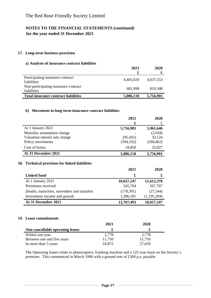#### **17. Long-term business provision**

#### **a) Analysis of insurance contract liabilities**

|                                                        | 2021<br>£ | 2020      |
|--------------------------------------------------------|-----------|-----------|
| Participating insurance contract<br><i>liabilities</i> | 4,405,020 | 4,937,553 |
| Non-participating insurance contract<br>liabilities    | 681.098   | 819.348   |
| <b>Total insurance contract liabilities</b>            | 5,086,118 | 5,756,901 |

#### **b) Movement in long-term insurance contract liabilities**

|                                                | 2021       | 2020        |
|------------------------------------------------|------------|-------------|
|                                                | £          | £           |
| At 1 January 2021                              | 5,756,901  | 5,961,646   |
| Mortality assumption change                    |            | (2,934)     |
| Valuation interest rate change                 | (95, 441)  | 33,124      |
| Policy movements                               | (594, 192) | (268, 862)  |
| Cost of bonus                                  | 18,850     | 33,927      |
| At 31 December 2021                            | 5,086,118  | 5,756,901   |
| 18. Technical provision for linked liabilities |            |             |
|                                                | 2021       | 2020        |
| Linked fund                                    | £          | £           |
| At 1 January 2021                              | 10,657,247 | 11,612,378  |
| Premiums received                              | 545,764    | 267,707     |
| Deaths, maturities, surrenders and transfers   | (178,301)  | (27, 544)   |
| Investment income and growth                   | 1,386,181  | (1,195,294) |

#### **19. Lease commitments**

|                                  | 2021   | 2020   |
|----------------------------------|--------|--------|
| Non cancellable operating leases |        |        |
| Within one year                  | 2,778  | 2,778  |
| Between one and five years       | 11.750 | 11,750 |
| In more than 5 years             | 24,872 | 27,650 |

The Operating leases relate to photocopiers, franking machine and a 125 year lease on the Society's premises. This commenced in March 1996 with a ground rent of £300 p.a. payable.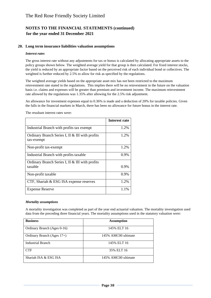#### **20. Long term insurance liabilities valuation assumptions**

#### *Interest rates*

The gross interest rate without any adjustments for tax or bonus is calculated by allocating appropriate assets to the policy groups shown below. The weighted average yield for that group is then calculated. For fixed interest stocks, the yield is reduced by an appropriate factor based on the perceived risk of each individual bond or collectives. The weighted is further reduced by 2.5% to allow for risk as specified by the regulations.

The weighted average yields based on the appropriate asset mix has not been restricted to the maximum reinvestment rate stated in the regulations. This implies there will be no reinvestment in the future on the valuation basis i.e. claims and expenses will be greater than premium and investment income. The maximum reinvestment rate allowed by the regulations was 1.35% after allowing for the 2.5% risk adjustment.

An allowance for investment expenses equal to 0.36% is made and a deduction of 20% for taxable policies. Given the falls in the financial markets in March, there has been no allowance for future bonus in the interest rate.

|                                                               | Interest rate |
|---------------------------------------------------------------|---------------|
| Industrial Branch with profits tax exempt                     | 1.2%          |
| Ordinary Branch Series I, II & III with profits<br>tax-exempt | 1.2%          |
| Non-profit tax-exempt                                         | 1.2%          |
| Industrial Branch with profits taxable                        | $0.9\%$       |
| Ordinary Branch Series I, II & III with profits<br>taxable    | 0.9%          |
| Non-profit taxable                                            | 0.9%          |
| CTF, Shariah & ESG ISA expense reserves                       | 1.2%          |
| <b>Expense Reserve</b>                                        | 1.1%          |

The resultant interest rates were:

#### *Mortality assumptions*

A mortality investigation was completed as part of the year end actuarial valuation. The mortality investigation used data from the preceding three financial years. The mortality assumptions used in the statutory valuation were:

| <b>Business</b>               | <b>Assumption</b>   |
|-------------------------------|---------------------|
| Ordinary Branch (Ages 0-16)   | 145% ELT 16         |
| Ordinary Branch (Ages $17+$ ) | 145% AMC00 ultimate |
| <b>Industrial Branch</b>      | 145% ELT 16         |
| <b>CTF</b>                    | 35% ELT 16          |
| Shariah ISA & ESG ISA         | 145% AMC00 ultimate |